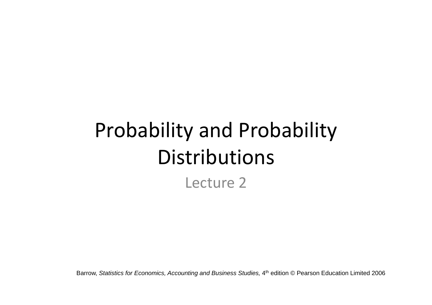# Probability and Probability Distributions Lecture 2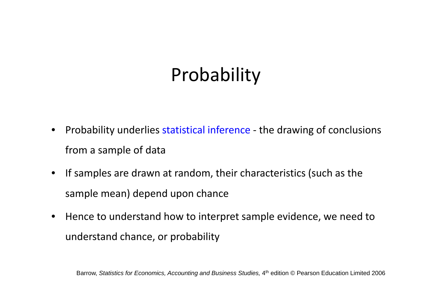# Probability

- • Probability underlies statistical inference ‐ the drawing of conclusions from <sup>a</sup> sample of data
- If samples are drawn at random, their characteristics (such as the sample mean) depend upon chance
- • Hence to understand how to interpret sample evidence, we need to understand chance, or probability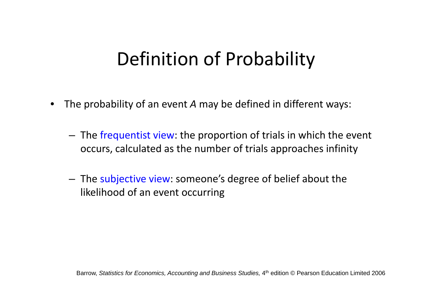## Definition of Probability

- • The probability of an event *A* may be defined in different ways:
	- $-$  The frequentist view: the proportion of trials in which the event occurs, calculated as the number of trials approaches infinity
	- – $-$  The subjective view: someone's degree of belief about the likelihood of an event occurring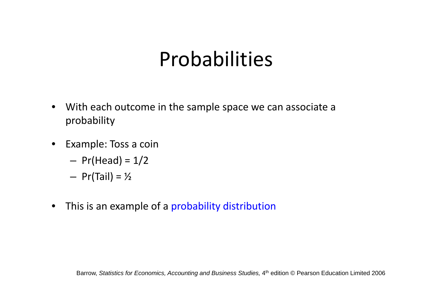## Probabilities

- $\bullet$  With each outcome in the sample space we can associate <sup>a</sup> probability
- Example: Toss <sup>a</sup> coin
	- –Pr(Head) <sup>=</sup> 1/2
	- – $-$  Pr(Tail) =  $\frac{1}{2}$
- $\bullet$ **•** This is an example of a probability distribution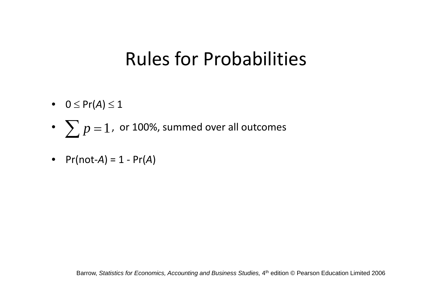### Rules for Probabilities

- $\bullet$  0  $\leq$  Pr(*A*)  $\leq$  1
- • $\bullet~~\sum p=1$  , or 100%, summed over all outcomes
- Pr(not‐*A*) <sup>=</sup> 1 ‐ Pr(*A*)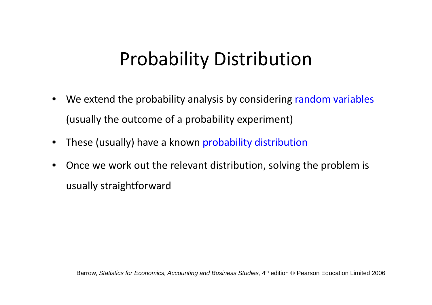## Probability Distribution

- •• We extend the probability analysis by considering random variables (usually the outcome of <sup>a</sup> probability experiment)
- $\bullet$ These (usually) have <sup>a</sup> known probability distribution
- • Once we work out the relevant distribution, solving the problem is usually straightforward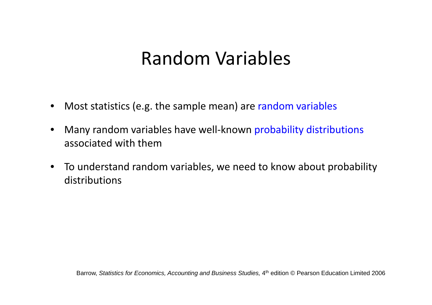### Random Variables

- •• Most statistics (e.g. the sample mean) are random variables
- • Many random variables have well‐known probability distributions associated with them
- $\bullet$  To understand random variables, we need to know about probability distributions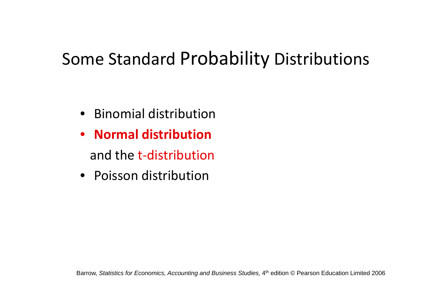### Some Standard Probability Distributions

- Binomial distribution
- **Normal distribution**and the t-distribution
- Poisson distribution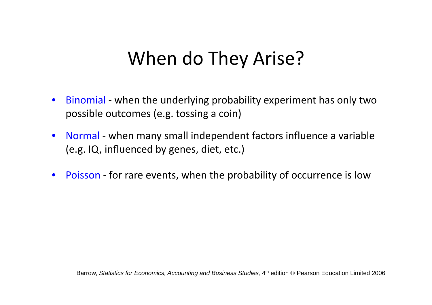### When do They Arise?

- $\bullet$ ● Binomial - when the underlying probability experiment has only two possible outcomes (e.g. tossing a coin)
- •● Normal - when many small independent factors influence a variable (e.g. IQ, influenced by genes, diet, etc.)
- •• Poisson - for rare events, when the probability of occurrence is low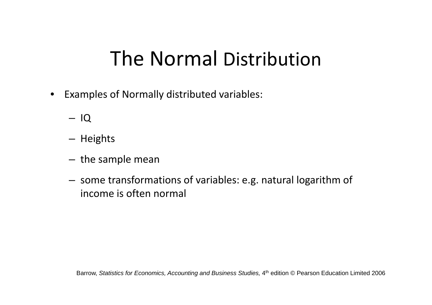## The Normal Distribution

- $\bullet$  Examples of Normally distributed variables:
	- IQ
	- Heights
	- – $-$  the sample mean
	- $-$  some transformations of variables: e.g. natural logarithm of income is often normal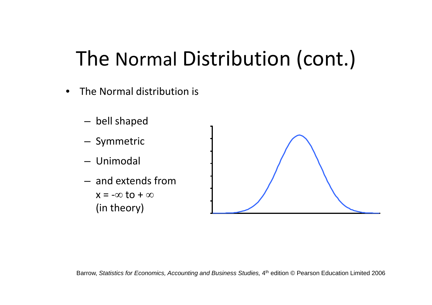# The Normal Distribution (cont.)

- •• The Normal distribution is
	- $-$  bell shaped – Symmetric – Unimodal – and extends from  $x$  = - $\infty$  to +  $\infty$ (in theory)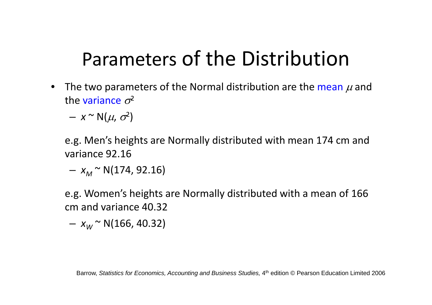# Parameters of the Distribution

- The two parameters of the Normal distribution are the mean  $\mu$  and the variance  $\sigma^2$ 
	- – $- x \sim N(\mu, \sigma^2)$

e.g. Men's heights are Normally distributed with mean 174 cm and variance 92.16

— *x<sub>M</sub>* ~ N(174, 92.16)

e.g. Women's heights are Normally distributed with <sup>a</sup> mean of 166 cm and variance 40.32

– *x<sub>w</sub>* ~ N(166, 40.32)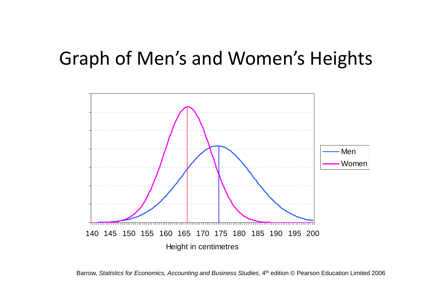### Graph of Men's and Women's Heights



Barrow, Statistics for Economics, Accounting and Business Studies, 4<sup>th</sup> edition © Pearson Education Limited 2006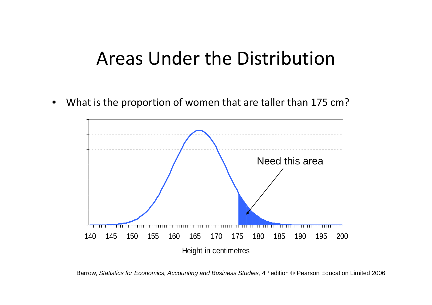#### Areas Under the Distribution

 $\bullet$ What is the proportion of women that are taller than 175 cm?



Barrow, Statistics for Economics, Accounting and Business Studies, 4<sup>th</sup> edition © Pearson Education Limited 2006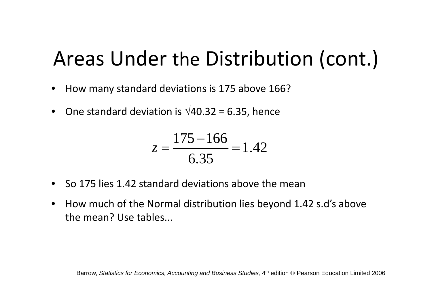# Areas Under the Distribution (cont.)

- •How many standard deviations is 175 above 166?
- One standard deviation is  $\sqrt{40.32}$  = 6.35, hence

$$
z = \frac{175 - 166}{6.35} = 1.42
$$

- So 175 lies 1.42 standard deviations above the mean
- • How much of the Normal distribution lies beyond 1.42 s.d's above the mean? Use tables...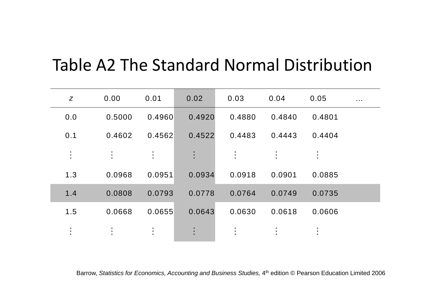#### Table A2 The Standard Normal Distribution

| $\mathsf{Z}$           | 0.00           | 0.01           | 0.02           | 0.03           | 0.04           | 0.05           | $\sim 100$ |
|------------------------|----------------|----------------|----------------|----------------|----------------|----------------|------------|
| 0.0                    | 0.5000         | 0.4960         | 0.4920         | 0.4880         | 0.4840         | 0.4801         |            |
| 0.1                    | 0.4602         | 0.4562         | 0.4522         | 0.4483         | 0.4443         | 0.4404         |            |
| $\ddot{\cdot}$         | $\ddot{\cdot}$ | $\ddot{\cdot}$ | $\ddot{\cdot}$ | $\ddot{\cdot}$ | $\ddot{\cdot}$ | $\ddot{\cdot}$ |            |
| 1.3                    | 0.0968         | 0.0951         | 0.0934         | 0.0918         | 0.0901         | 0.0885         |            |
| 1.4                    | 0.0808         | 0.0793         | 0.0778         | 0.0764         | 0.0749         | 0.0735         |            |
| 1.5                    | 0.0668         | 0.0655         | 0.0643         | 0.0630         | 0.0618         | 0.0606         |            |
| $\bullet$<br>$\bullet$ | $\bullet$      | $\ddot{\cdot}$ | $\bullet$      |                |                |                |            |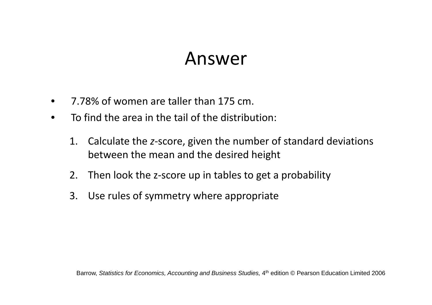#### Answer

- •7.78% of women are taller than 175 cm.
- $\bullet$ **•** To find the area in the tail of the distribution:
	- 1. Calculate the *<sup>z</sup>*‐score, given the number of standard deviations between the mean and the desired height
	- 2. Then look the <sup>z</sup>‐score up in tables to get <sup>a</sup> probability
	- 3. Use rules of symmetry where appropriate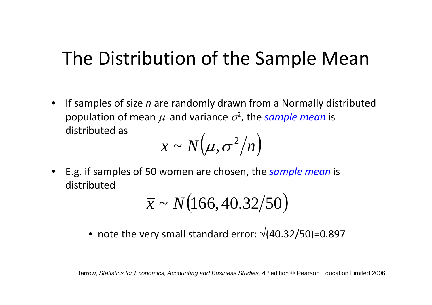### The Distribution of the Sample Mean

• If samples of size *<sup>n</sup>* are randomly drawn from <sup>a</sup> Normally distributed population of mean  $\mu$  and variance  $\sigma^2$ , the *sample mean* is distributed as

$$
\overline{x} \sim N(\mu, \sigma^2/n)
$$

• E.g. if samples of 50 women are chosen, the *sample mean* is distributed

$$
\bar{x} \sim N(166, 40.32/50)
$$

• note the very small standard error:  $\sqrt{(40.32/50)}$ =0.897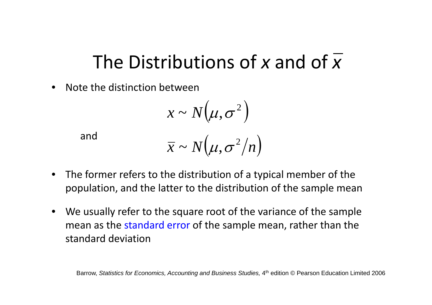## The Distributions of *<sup>x</sup>* and of *<sup>x</sup>*

•• Note the distinction between

$$
x \sim N(\mu, \sigma^2)
$$

and

$$
\overline{x} \sim N(\mu, \sigma^2/n)
$$

- • The former refers to the distribution of <sup>a</sup> typical member of the population, and the latter to the distribution of the sample mean
- • We usually refer to the square root of the variance of the sample mean as the standard error of the sample mean, rather than the standard deviation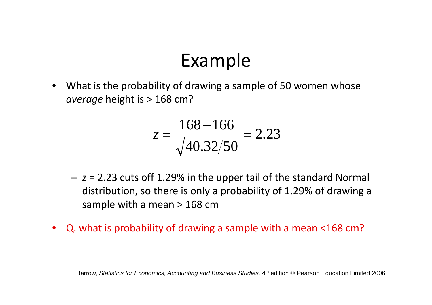## Example

• $\bullet$  What is the probability of drawing a sample of 50 women whose *average* height is <sup>&</sup>gt; 168 cm?

$$
z = \frac{168 - 166}{\sqrt{40.32/50}} = 2.23
$$

- *<sup>z</sup>* <sup>=</sup> 2.23 cuts off 1.29% in the upper tail of the standard Normal distribution, so there is only a probability of 1.29% of drawing a sample with <sup>a</sup> mean <sup>&</sup>gt; 168 cm
- •Q. what is probability of drawing <sup>a</sup> sample with <sup>a</sup> mean <168 cm?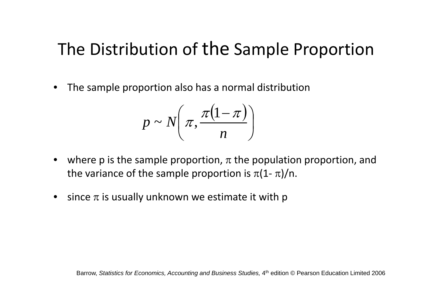#### The Distribution of the Sample Proportion

•The sample proportion also has <sup>a</sup> normal distribution

$$
p \sim N\left(\pi, \frac{\pi(1-\pi)}{n}\right)
$$

- $\bullet$ • where p is the sample proportion,  $\pi$  the population proportion, and the variance of the sample proportion is  $\pi (1\text{--}\pi )/$ n.
- since  $\pi$  is usually unknown we estimate it with p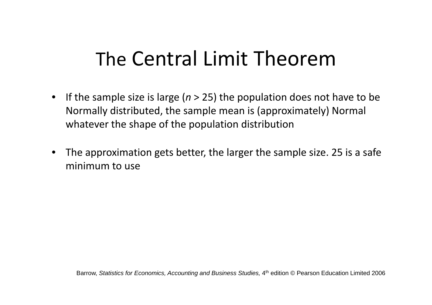# The Central Limit Theorem

- $\bullet$ • If the sample size is large (*n* > 25) the population does not have to be Normally distributed, the sample mean is (approximately) Normal whatever the shape of the population distribution
- • The approximation gets better, the larger the sample size. 25 is <sup>a</sup> safe minimum to use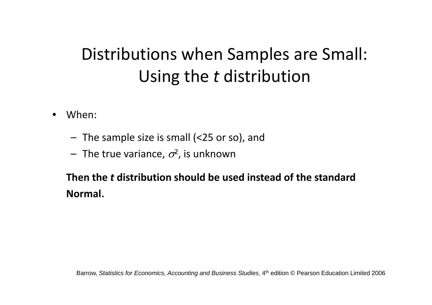### Distributions when Samples are Small: Using the *<sup>t</sup>* distribution

- • When:
	- The sample size is small (<25 or so), and
	- $-$  The true variance,  $\sigma^{\!2}$ , is unknown

**Then the** *t* **distribution should be used instead of the standard Normal**.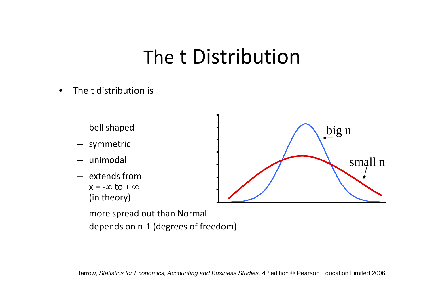## The t Distribution

- •• The t distribution is
	- bell shaped
	- –symmetric
	- unimodal
	- extends from $x = -\infty$  to  $+\infty$ (in theory)



- more spread out than Normal
- depends on <sup>n</sup>‐1 (degrees of freedom)